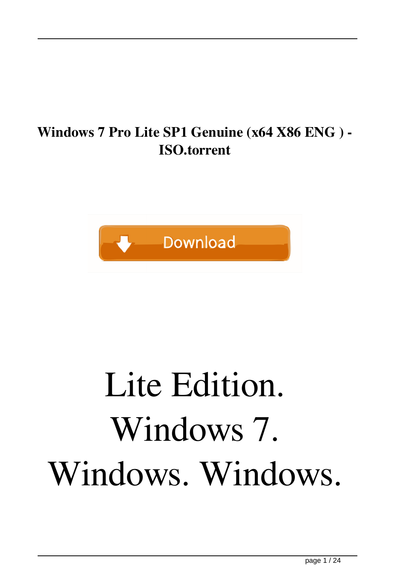#### **Windows 7 Pro Lite SP1 Genuine (x64 X86 ENG ) - ISO.torrent**



#### Lite Edition. Windows 7. Windows. Windows.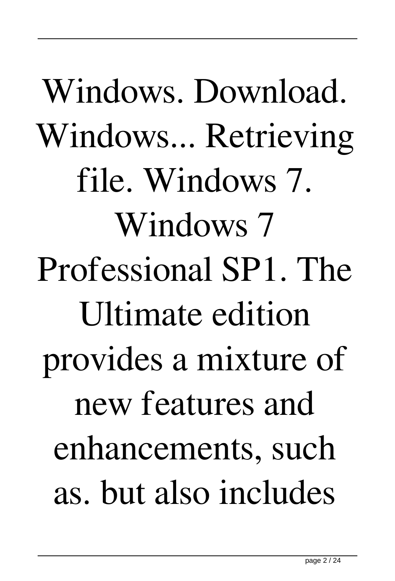Windows. Download. Windows... Retrieving file. Windows 7. Windows 7 Professional SP1. The Ultimate edition provides a mixture of new features and enhancements, such as. but also includes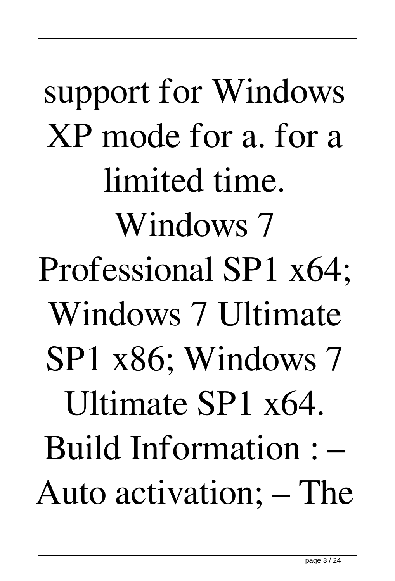support for Windows XP mode for a. for a limited time. Windows 7 Professional SP1 x64; Windows 7 Ultimate SP1 x86; Windows 7 Ultimate SP1 x64. Build Information : – Auto activation; – The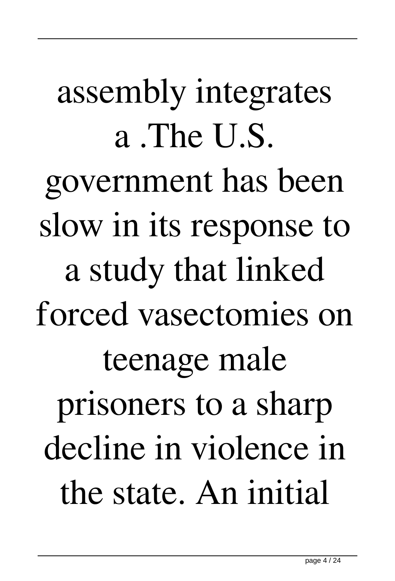assembly integrates a .The U.S. government has been slow in its response to a study that linked forced vasectomies on teenage male prisoners to a sharp decline in violence in the state. An initial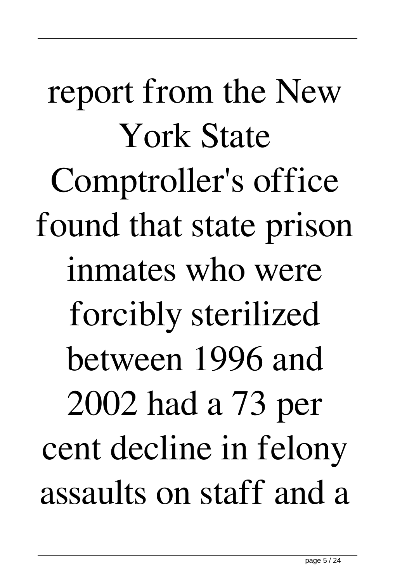report from the New York State Comptroller's office found that state prison inmates who were forcibly sterilized between 1996 and 2002 had a 73 per cent decline in felony assaults on staff and a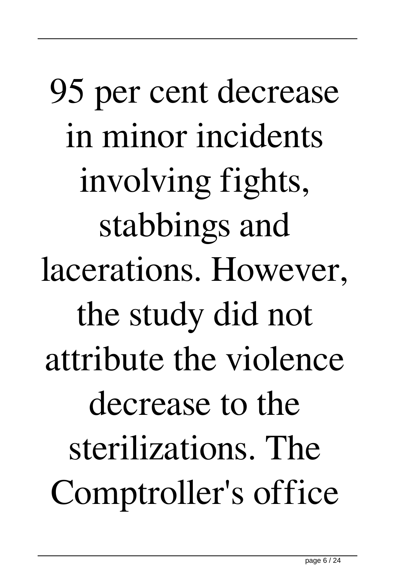95 per cent decrease in minor incidents involving fights, stabbings and lacerations. However, the study did not attribute the violence decrease to the sterilizations. The Comptroller's office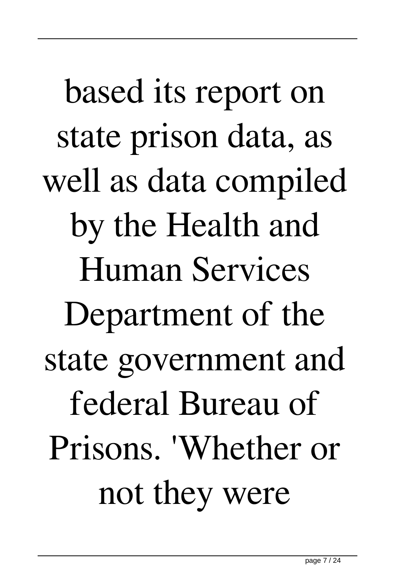based its report on state prison data, as well as data compiled by the Health and Human Services Department of the state government and federal Bureau of Prisons. 'Whether or not they were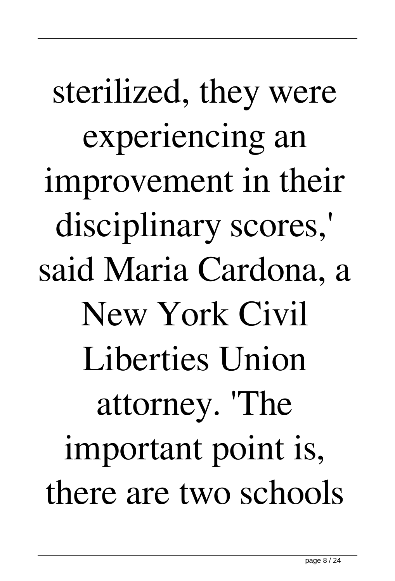# sterilized, they were experiencing an improvement in their disciplinary scores,' said Maria Cardona, a New York Civil Liberties Union attorney. 'The important point is, there are two schools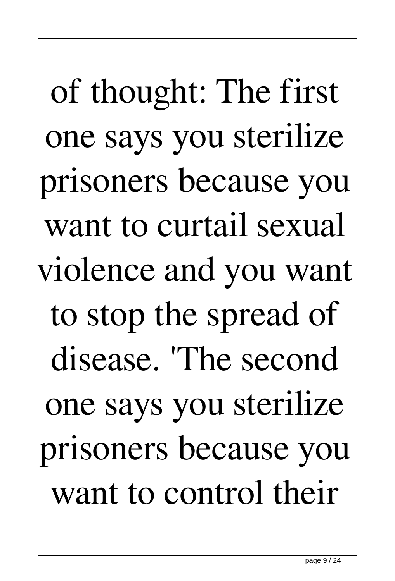of thought: The first one says you sterilize prisoners because you want to curtail sexual violence and you want to stop the spread of disease. 'The second one says you sterilize prisoners because you want to control their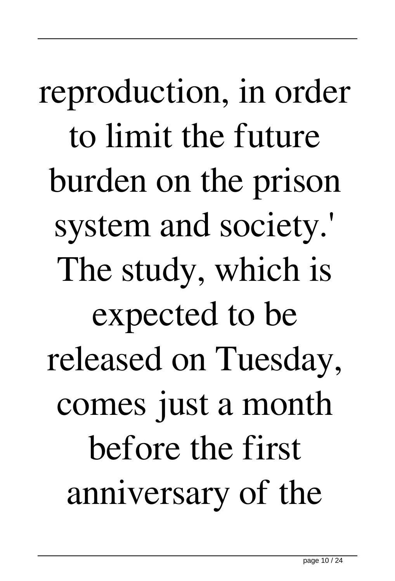reproduction, in order to limit the future burden on the prison system and society.' The study, which is expected to be released on Tuesday, comes just a month before the first anniversary of the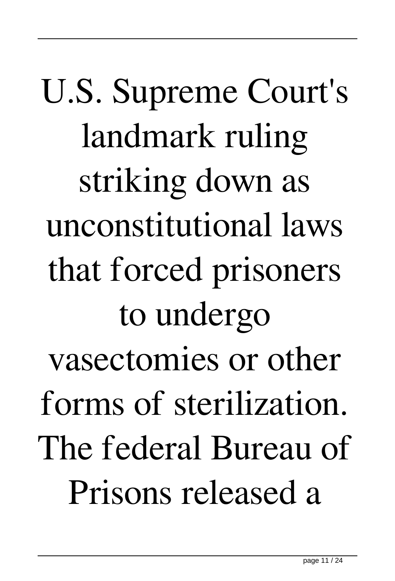U.S. Supreme Court's landmark ruling striking down as unconstitutional laws that forced prisoners to undergo vasectomies or other forms of sterilization. The federal Bureau of Prisons released a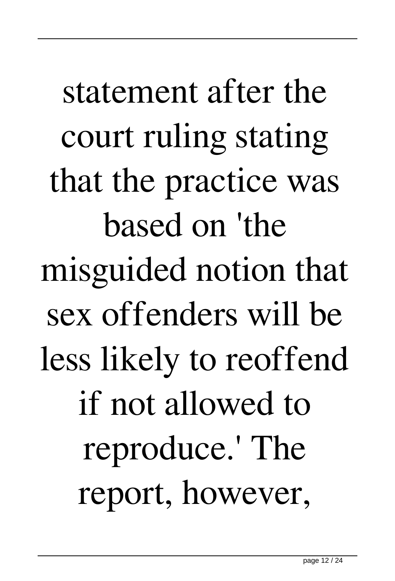statement after the court ruling stating that the practice was based on 'the misguided notion that sex offenders will be less likely to reoffend if not allowed to reproduce.' The report, however,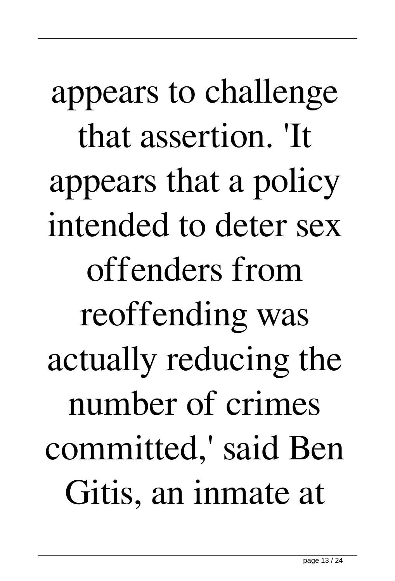appears to challenge that assertion. 'It appears that a policy intended to deter sex offenders from reoffending was actually reducing the number of crimes committed,' said Ben Gitis, an inmate at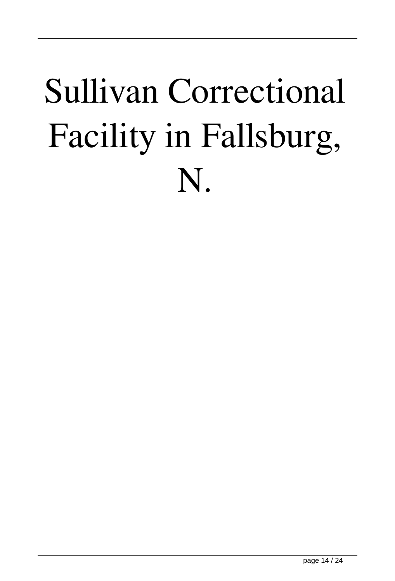#### Sullivan Correctional Facility in Fallsburg, N.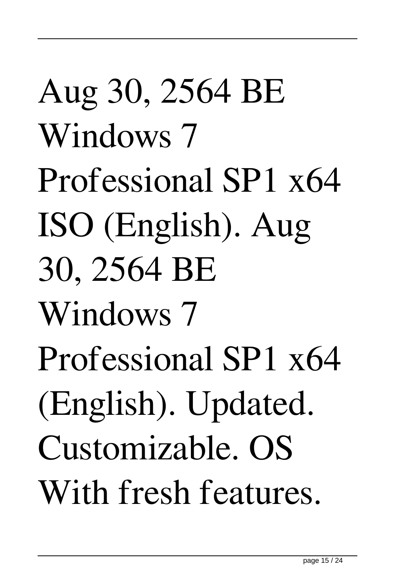# Aug 30, 2564 BE Windows 7 Professional SP1 x64 ISO (English). Aug 30, 2564 BE Windows 7 Professional SP1 x64 (English). Updated. Customizable. OS With fresh features.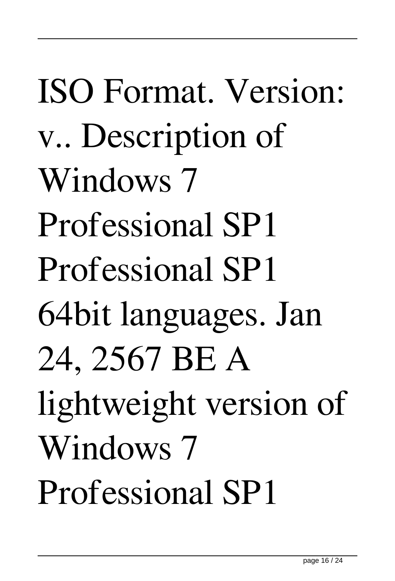# ISO Format. Version: v.. Description of Windows 7 Professional SP1 Professional SP1 64bit languages. Jan 24, 2567 BE A lightweight version of Windows 7 Professional SP1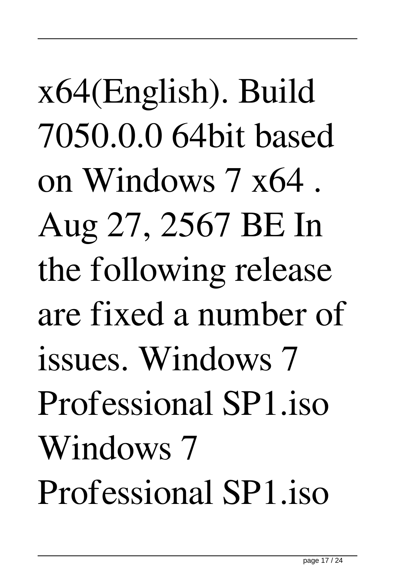x64(English). Build 7050.0.0 64bit based on Windows 7 x64 . Aug 27, 2567 BE In the following release are fixed a number of issues. Windows 7 Professional SP1.iso Windows 7 Professional SP1.iso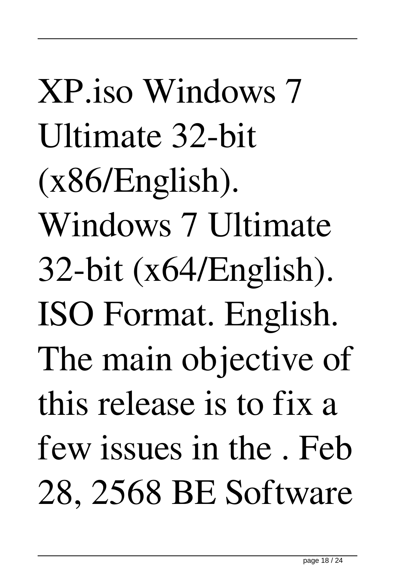XP.iso Windows 7 Ultimate 32-bit (x86/English). Windows 7 Ultimate  $32$ -bit (x64/English). ISO Format. English. The main objective of this release is to fix a few issues in the . Feb 28, 2568 BE Software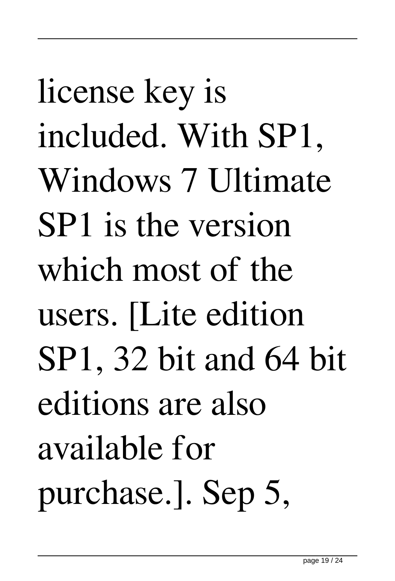license key is included. With SP1, Windows 7 Ultimate SP1 is the version which most of the users. [Lite edition SP1, 32 bit and 64 bit editions are also available for purchase.]. Sep 5,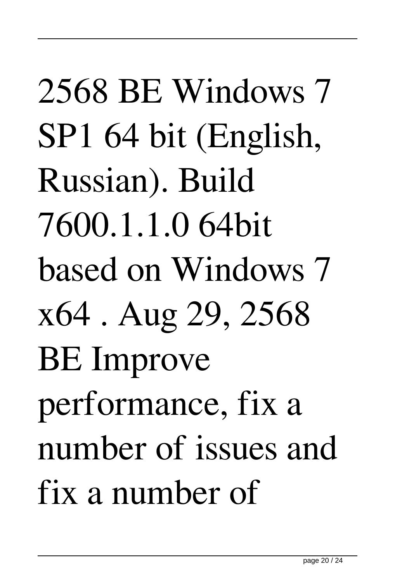2568 BE Windows 7 SP1 64 bit (English, Russian). Build 7600.1.1.0 64bit based on Windows 7 x64 . Aug 29, 2568 BE Improve performance, fix a number of issues and fix a number of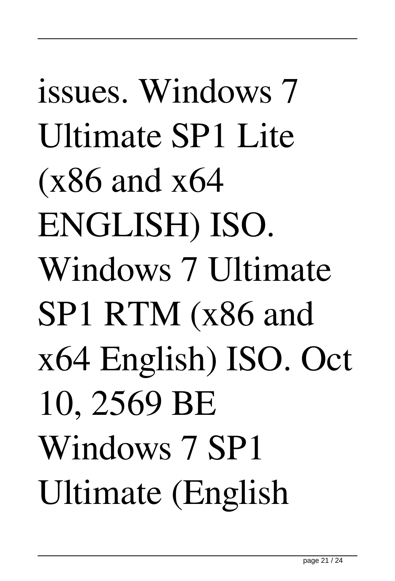issues. Windows 7 Ultimate SP1 Lite (x86 and x64 ENGLISH) ISO. Windows 7 Ultimate SP1 RTM (x86 and x64 English) ISO. Oct 10, 2569 BE Windows 7 SP1 Ultimate (English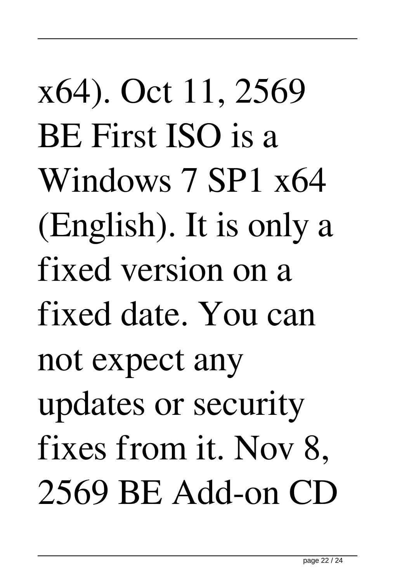x64). Oct 11, 2569 BE First ISO is a Windows 7 SP1 x64 (English). It is only a fixed version on a fixed date. You can not expect any updates or security fixes from it. Nov 8, 2569 BE Add-on CD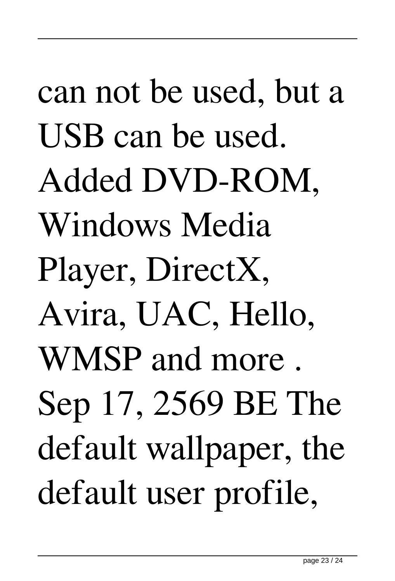# can not be used, but a USB can be used. Added DVD-ROM, Windows Media Player, DirectX, Avira, UAC, Hello, WMSP and more . Sep 17, 2569 BE The default wallpaper, the default user profile,